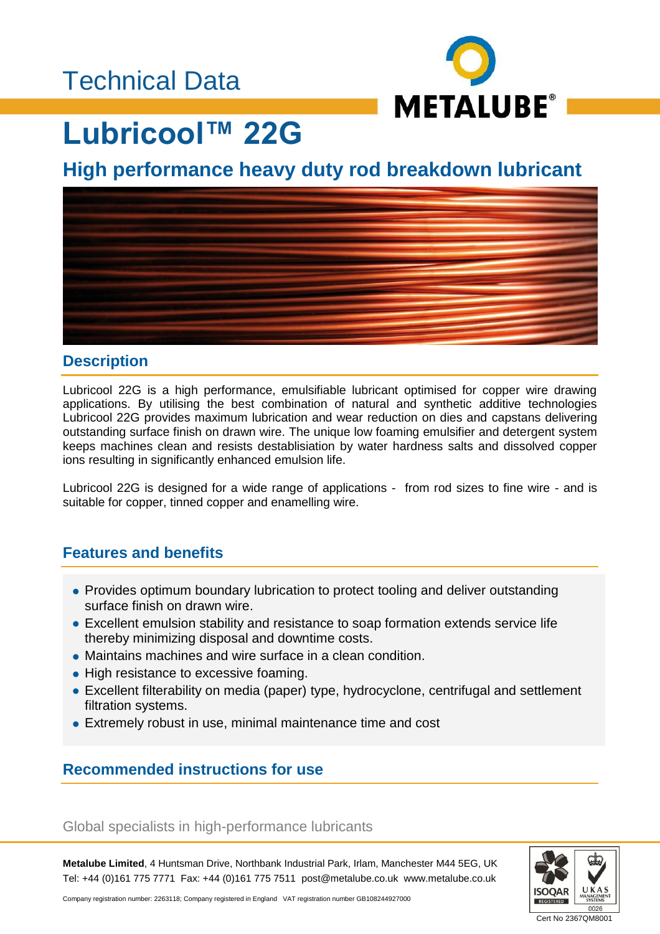# Technical Data



# **Lubricool™ 22G**

**High performance heavy duty rod breakdown lubricant**



#### **Description**

Lubricool 22G is a high performance, emulsifiable lubricant optimised for copper wire drawing applications. By utilising the best combination of natural and synthetic additive technologies Lubricool 22G provides maximum lubrication and wear reduction on dies and capstans delivering outstanding surface finish on drawn wire. The unique low foaming emulsifier and detergent system keeps machines clean and resists destablisiation by water hardness salts and dissolved copper ions resulting in significantly enhanced emulsion life.

Lubricool 22G is designed for a wide range of applications - from rod sizes to fine wire - and is suitable for copper, tinned copper and enamelling wire.

## **Features and benefits**

- Provides optimum boundary lubrication to protect tooling and deliver outstanding surface finish on drawn wire.
- Excellent emulsion stability and resistance to soap formation extends service life thereby minimizing disposal and downtime costs.
- Maintains machines and wire surface in a clean condition.
- High resistance to excessive foaming.
- Excellent filterability on media (paper) type, hydrocyclone, centrifugal and settlement filtration systems.
- Extremely robust in use, minimal maintenance time and cost

## **Recommended instructions for use**

#### Global specialists in high-performance lubricants

**Metalube Limited**, 4 Huntsman Drive, Northbank Industrial Park, Irlam, Manchester M44 5EG, UK Tel: +44 (0)161 775 7771 Fax: +44 (0)161 775 7511 post@metalube.co.uk www.metalube.co.uk



Company registration number: 2263118; Company registered in England VAT registration number GB108244927000

Cert No 2367QM8001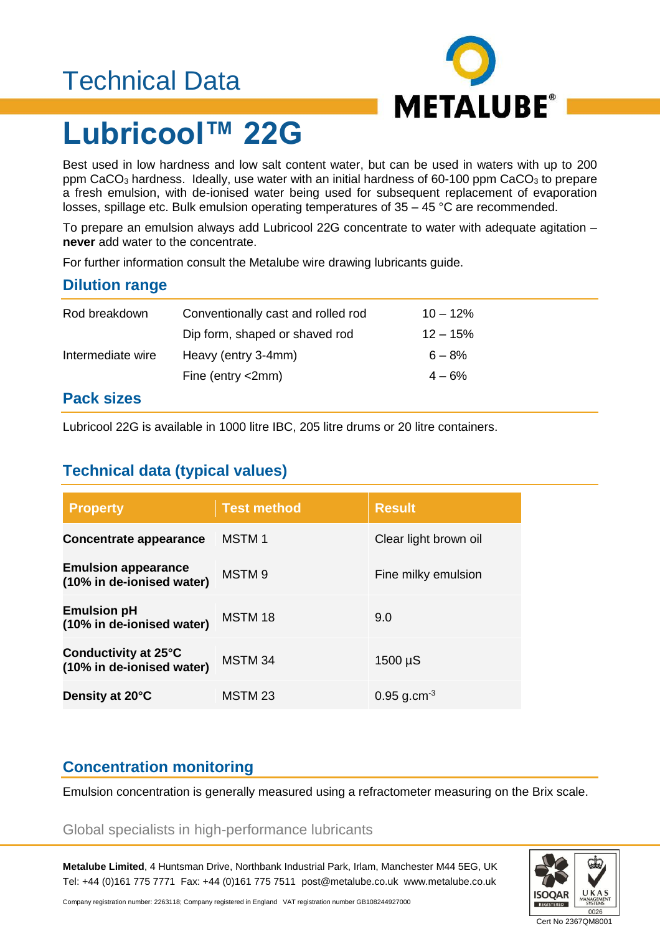# Technical Data



# **Lubricool™ 22G**

Best used in low hardness and low salt content water, but can be used in waters with up to 200 ppm CaCO<sub>3</sub> hardness. Ideally, use water with an initial hardness of 60-100 ppm CaCO<sub>3</sub> to prepare a fresh emulsion, with de-ionised water being used for subsequent replacement of evaporation losses, spillage etc. Bulk emulsion operating temperatures of 35 – 45 °C are recommended.

To prepare an emulsion always add Lubricool 22G concentrate to water with adequate agitation – **never** add water to the concentrate.

For further information consult the Metalube wire drawing lubricants guide.

## **Dilution range**

| Rod breakdown     | Conventionally cast and rolled rod | $10 - 12\%$ |  |
|-------------------|------------------------------------|-------------|--|
|                   | Dip form, shaped or shaved rod     | $12 - 15%$  |  |
| Intermediate wire | Heavy (entry 3-4mm)                | $6 - 8\%$   |  |
|                   | Fine (entry $\langle$ 2mm)         | $4 - 6\%$   |  |
| Deek sinee        |                                    |             |  |

#### **Pack sizes**

Lubricool 22G is available in 1000 litre IBC, 205 litre drums or 20 litre containers.

## **Technical data (typical values)**

| <b>Property</b>                                         | <b>Test method</b> | <b>Result</b>             |
|---------------------------------------------------------|--------------------|---------------------------|
| Concentrate appearance                                  | <b>MSTM1</b>       | Clear light brown oil     |
| <b>Emulsion appearance</b><br>(10% in de-ionised water) | MSTM <sub>9</sub>  | Fine milky emulsion       |
| <b>Emulsion pH</b><br>(10% in de-ionised water)         | MSTM 18            | 9.0                       |
| Conductivity at 25°C<br>(10% in de-ionised water)       | MSTM 34            | $1500 \mu S$              |
| Density at 20°C                                         | MSTM 23            | $0.95$ g.cm <sup>-3</sup> |

## **Concentration monitoring**

Emulsion concentration is generally measured using a refractometer measuring on the Brix scale.

#### Global specialists in high-performance lubricants

**Metalube Limited**, 4 Huntsman Drive, Northbank Industrial Park, Irlam, Manchester M44 5EG, UK Tel: +44 (0)161 775 7771 Fax: +44 (0)161 775 7511 post@metalube.co.uk www.metalube.co.uk



Company registration number: 2263118; Company registered in England VAT registration number GB108244927000